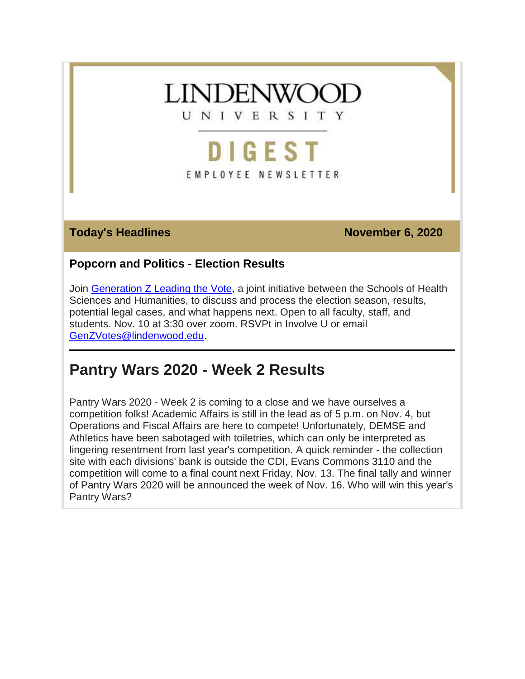

# **DIGEST** EMPLOYEE NEWSLETTER

**Today's Headlines November 6, 2020** 

## **Popcorn and Politics - Election Results**

Join [Generation Z Leading the Vote,](https://felix.lindenwood.edu/newsletter/digest-2020/november/popcorn-and-politics.png) a joint initiative between the Schools of Health Sciences and Humanities, to discuss and process the election season, results, potential legal cases, and what happens next. Open to all faculty, staff, and students. Nov. 10 at 3:30 over zoom. RSVPt in Involve U or email [GenZVotes@lindenwood.edu.](mailto:GenZVotes@lindenwood.edu)

## **Pantry Wars 2020 - Week 2 Results**

Pantry Wars 2020 - Week 2 is coming to a close and we have ourselves a competition folks! Academic Affairs is still in the lead as of 5 p.m. on Nov. 4, but Operations and Fiscal Affairs are here to compete! Unfortunately, DEMSE and Athletics have been sabotaged with toiletries, which can only be interpreted as lingering resentment from last year's competition. A quick reminder - the collection site with each divisions' bank is outside the CDI, Evans Commons 3110 and the competition will come to a final count next Friday, Nov. 13. The final tally and winner of Pantry Wars 2020 will be announced the week of Nov. 16. Who will win this year's Pantry Wars?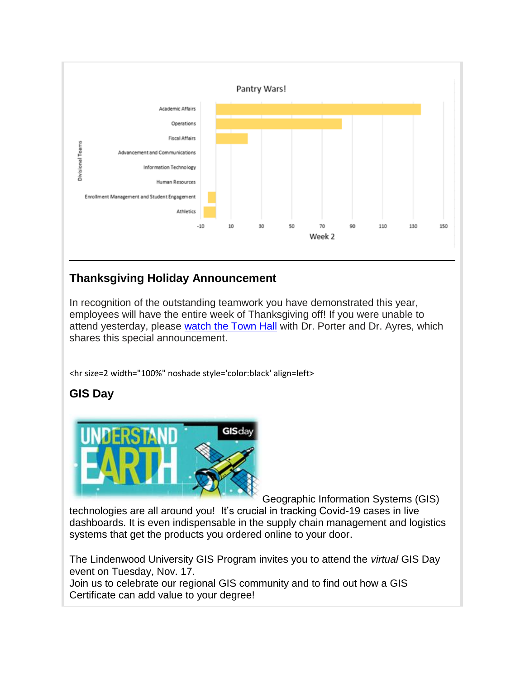

## **Thanksgiving Holiday Announcement**

In recognition of the outstanding teamwork you have demonstrated this year, employees will have the entire week of Thanksgiving off! If you were unable to attend yesterday, please [watch the Town Hall](https://youtu.be/YVAv3kTjsEU) with Dr. Porter and Dr. Ayres, which shares this special announcement.

<hr size=2 width="100%" noshade style='color:black' align=left>

## **GIS Day**



Geographic Information Systems (GIS)

technologies are all around you! It's crucial in tracking Covid-19 cases in live dashboards. It is even indispensable in the supply chain management and logistics systems that get the products you ordered online to your door.

The Lindenwood University GIS Program invites you to attend the *virtual* GIS Day event on Tuesday, Nov. 17.

Join us to celebrate our regional GIS community and to find out how a GIS Certificate can add value to your degree!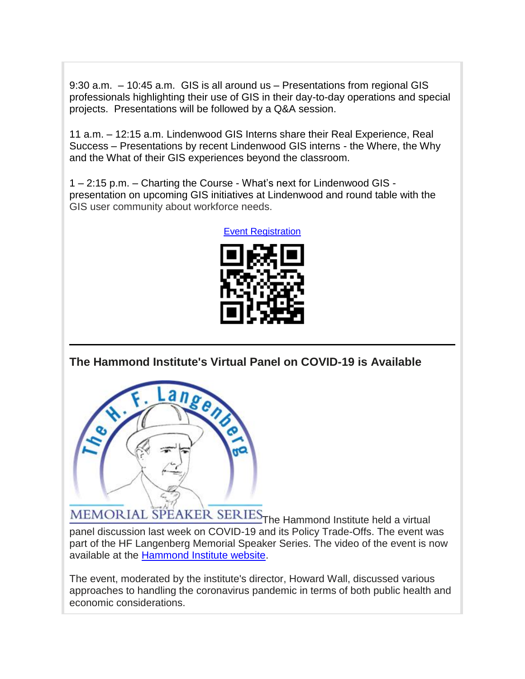9:30 a.m. – 10:45 a.m. GIS is all around us – Presentations from regional GIS professionals highlighting their use of GIS in their day-to-day operations and special projects. Presentations will be followed by a Q&A session.

11 a.m. – 12:15 a.m. Lindenwood GIS Interns share their Real Experience, Real Success – Presentations by recent Lindenwood GIS interns - the Where, the Why and the What of their GIS experiences beyond the classroom.

1 – 2:15 p.m. – Charting the Course - What's next for Lindenwood GIS presentation on upcoming GIS initiatives at Lindenwood and round table with the GIS user community about workforce needs.





**The Hammond Institute's Virtual Panel on COVID-19 is Available**



MEMORIAL SPEAKER SERIES The Hammond Institute held a virtual panel discussion last week on COVID-19 and its Policy Trade-Offs. The event was part of the HF Langenberg Memorial Speaker Series. The video of the event is now available at the **Hammond Institute website**.

The event, moderated by the institute's director, Howard Wall, discussed various approaches to handling the coronavirus pandemic in terms of both public health and economic considerations.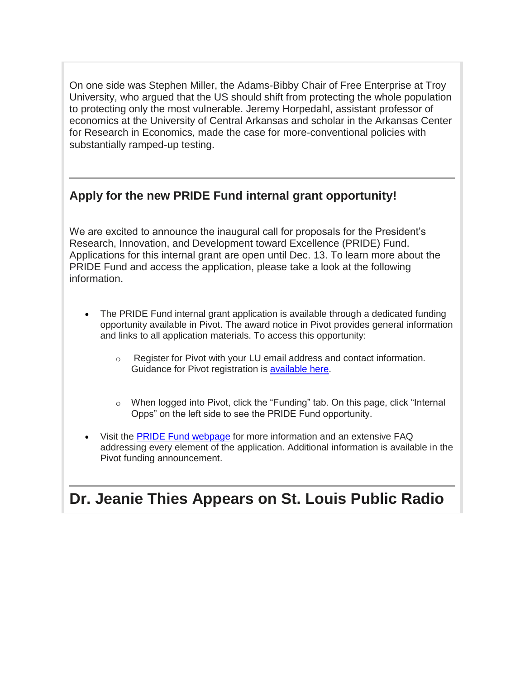On one side was Stephen Miller, the Adams-Bibby Chair of Free Enterprise at Troy University, who argued that the US should shift from protecting the whole population to protecting only the most vulnerable. Jeremy Horpedahl, assistant professor of economics at the University of Central Arkansas and scholar in the Arkansas Center for Research in Economics, made the case for more-conventional policies with substantially ramped-up testing.

## **Apply for the new PRIDE Fund internal grant opportunity!**

We are excited to announce the inaugural call for proposals for the President's Research, Innovation, and Development toward Excellence (PRIDE) Fund. Applications for this internal grant are open until Dec. 13. To learn more about the PRIDE Fund and access the application, please take a look at the following information.

- The PRIDE Fund internal grant application is available through a dedicated funding opportunity available in Pivot. The award notice in Pivot provides general information and links to all application materials. To access this opportunity:
	- o Register for Pivot with your LU email address and contact information. Guidance for Pivot registration is [available here.](https://www.lindenwood.edu/academics/support-resources/office-of-institutional-effectiveness/research-and-compliance/grants-and-sponsored-projects/pivot/)
	- o When logged into Pivot, click the "Funding" tab. On this page, click "Internal Opps" on the left side to see the PRIDE Fund opportunity.
- Visit the [PRIDE Fund webpage](https://www.lindenwood.edu/academics/support-resources/office-of-institutional-effectiveness/research-and-compliance/research-innovation-partnership-lab/pride-fund/) for more information and an extensive FAQ addressing every element of the application. Additional information is available in the Pivot funding announcement.

## **Dr. Jeanie Thies Appears on St. Louis Public Radio**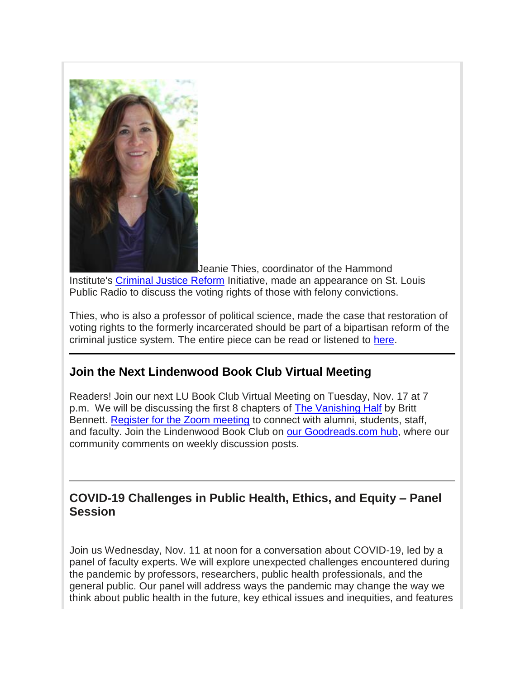

Jeanie Thies, coordinator of the Hammond Institute's [Criminal Justice Reform](https://www.hammondinstitute.org/criminal-justice-reform) Initiative, made an appearance on St. Louis Public Radio to discuss the voting rights of those with felony convictions.

Thies, who is also a professor of political science, made the case that restoration of voting rights to the formerly incarcerated should be part of a bipartisan reform of the criminal justice system. The entire piece can be read or listened to [here.](https://news.stlpublicradio.org/government-politics-issues/2020-11-03/a-slap-in-the-face-missourians-with-felony-convictions-dont-want-to-wait-to-vote)

## **Join the Next Lindenwood Book Club Virtual Meeting**

Readers! Join our next LU Book Club Virtual Meeting on Tuesday, Nov. 17 at 7 p.m. We will be discussing the first 8 chapters of [The Vanishing Half](https://www.goodreads.com/book/show/51791252-the-vanishing-half?ac=1&from_search=true&qid=R1kiRnes4T&rank=1) by Britt Bennett. [Register for the Zoom meeting](https://lindenwood.zoom.us/meeting/register/tJ0tdeGvrzsuH9b9p_YLjPHGnFSTECxXxhKH) to connect with alumni, students, staff, and faculty. Join the Lindenwood Book Club on [our Goodreads.com hub,](https://www.goodreads.com/group/show/1081806-lindenwood-university-book-club) where our community comments on weekly discussion posts.

## **COVID-19 Challenges in Public Health, Ethics, and Equity – Panel Session**

Join us Wednesday, Nov. 11 at noon for a conversation about COVID-19, led by a panel of faculty experts. We will explore unexpected challenges encountered during the pandemic by professors, researchers, public health professionals, and the general public. Our panel will address ways the pandemic may change the way we think about public health in the future, key ethical issues and inequities, and features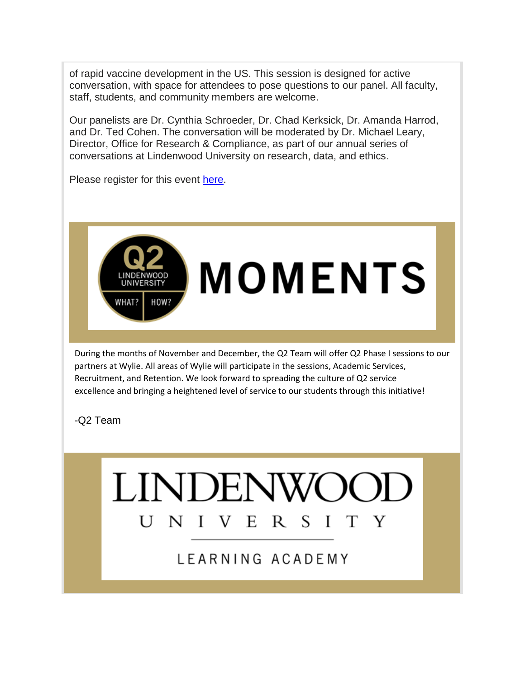of rapid vaccine development in the US. This session is designed for active conversation, with space for attendees to pose questions to our panel. All faculty, staff, students, and community members are welcome.

Our panelists are Dr. Cynthia Schroeder, Dr. Chad Kerksick, Dr. Amanda Harrod, and Dr. Ted Cohen. The conversation will be moderated by Dr. Michael Leary, Director, Office for Research & Compliance, as part of our annual series of conversations at Lindenwood University on research, data, and ethics.

Please register for this event [here.](https://covid19.training.lindenwood.edu/)



During the months of November and December, the Q2 Team will offer Q2 Phase I sessions to our partners at Wylie. All areas of Wylie will participate in the sessions, Academic Services, Recruitment, and Retention. We look forward to spreading the culture of Q2 service excellence and bringing a heightened level of service to our students through this initiative!

 $R S I$ 

T

Y

**LINDENW** 

V E

LEARNING ACADEMY

UNI

#### -Q2 Team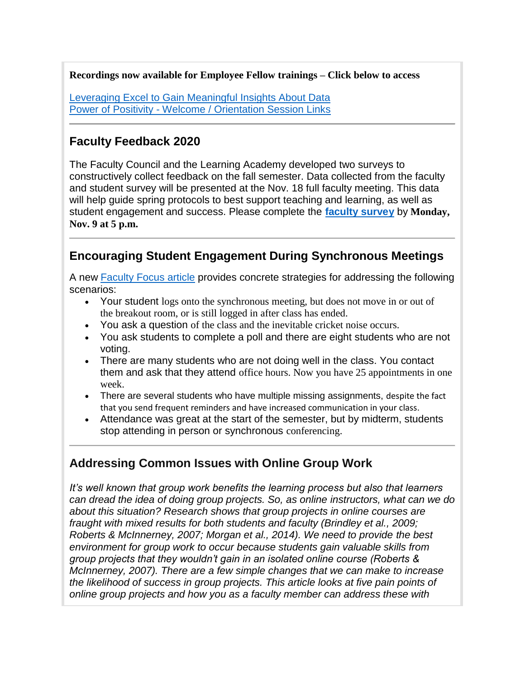**Recordings now available for Employee Fellow trainings – Click below to access**

[Leveraging Excel to Gain Meaningful Insights About Data](https://web.microsoftstream.com/video/f71076d5-1cf3-4464-a8b2-c5b7cb6a74b6) Power of Positivity - [Welcome / Orientation Session Links](https://pop-info.training.lindenwood.edu/)

#### **Faculty Feedback 2020**

The Faculty Council and the Learning Academy developed two surveys to constructively collect feedback on the fall semester. Data collected from the faculty and student survey will be presented at the Nov. 18 full faculty meeting. This data will help guide spring protocols to best support teaching and learning, as well as student engagement and success. Please complete the **[faculty survey](https://lindenwood.az1.qualtrics.com/jfe/form/SV_0rFRcMVeuz2O40R)** by **Monday, Nov. 9 at 5 p.m.**

## **Encouraging Student Engagement During Synchronous Meetings**

A new [Faculty Focus article](https://www.facultyfocus.com/articles/effective-teaching-strategies/encouraging-student-engagement-during-synchronous-meetings-preventing-midterm-drop-off/?st=FFdaily;sc=FF201104;utm_term=FF201104&utm_source=ActiveCampaign&utm_medium=email&utm_content=Encouraging+Student+Engagement+During+Synchronous+Meetings%3A+Preventing+Midterm+Drop-Off&utm_campaign=FF201104) provides concrete strategies for addressing the following scenarios:

- Your student logs onto the synchronous meeting, but does not move in or out of the breakout room, or is still logged in after class has ended.
- You ask a question of the class and the inevitable cricket noise occurs.
- You ask students to complete a poll and there are eight students who are not voting.
- There are many students who are not doing well in the class. You contact them and ask that they attend office hours. Now you have 25 appointments in one week.
- There are several students who have multiple missing assignments, despite the fact that you send frequent reminders and have increased communication in your class.
- Attendance was great at the start of the semester, but by midterm, students stop attending in person or synchronous conferencing.

## **Addressing Common Issues with Online Group Work**

*It's well known that group work benefits the learning process but also that learners can dread the idea of doing group projects. So, as online instructors, what can we do about this situation? Research shows that group projects in online courses are fraught with mixed results for both students and faculty (Brindley et al., 2009; Roberts & McInnerney, 2007; Morgan et al., 2014). We need to provide the best environment for group work to occur because students gain valuable skills from group projects that they wouldn't gain in an isolated online course (Roberts & McInnerney, 2007). There are a few simple changes that we can make to increase the likelihood of success in group projects. This article looks at five pain points of online group projects and how you as a faculty member can address these with*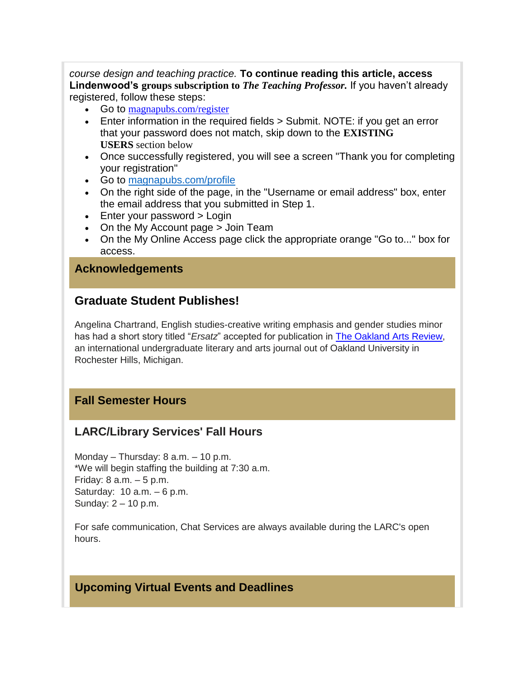*course design and teaching practice.* **To continue reading this article, access Lindenwood's groups subscription to** *The Teaching Professor.* If you haven't already registered, follow these steps:

- Go to [magnapubs.com/register](https://www.magnapubs.com/register/)
- Enter information in the required fields > Submit. NOTE: if you get an error that your password does not match, skip down to the **EXISTING USERS** section below
- Once successfully registered, you will see a screen "Thank you for completing your registration"
- Go to [magnapubs.com/profile](https://www.magnapubs.com/profile/join-sitelicense/ab922674baf180b91b75879aa5d9953f)
- On the right side of the page, in the "Username or email address" box, enter the email address that you submitted in Step 1.
- Enter your password > Login
- On the My Account page > Join Team
- On the My Online Access page click the appropriate orange "Go to..." box for access.

#### **Acknowledgements**

#### **Graduate Student Publishes!**

Angelina Chartrand, English studies-creative writing emphasis and gender studies minor has had a short story titled "*Ersatz*" accepted for publication in [The Oakland Arts Review,](https://oaklandartsreview.com/) an international undergraduate literary and arts journal out of Oakland University in Rochester Hills, Michigan.

#### **Fall Semester Hours**

#### **LARC/Library Services' Fall Hours**

Monday – Thursday: 8 a.m. – 10 p.m. \*We will begin staffing the building at 7:30 a.m. Friday: 8 a.m. – 5 p.m. Saturday: 10 a.m. – 6 p.m. Sunday: 2 – 10 p.m.

For safe communication, Chat Services are always available during the LARC's open hours.

#### **Upcoming Virtual Events and Deadlines**